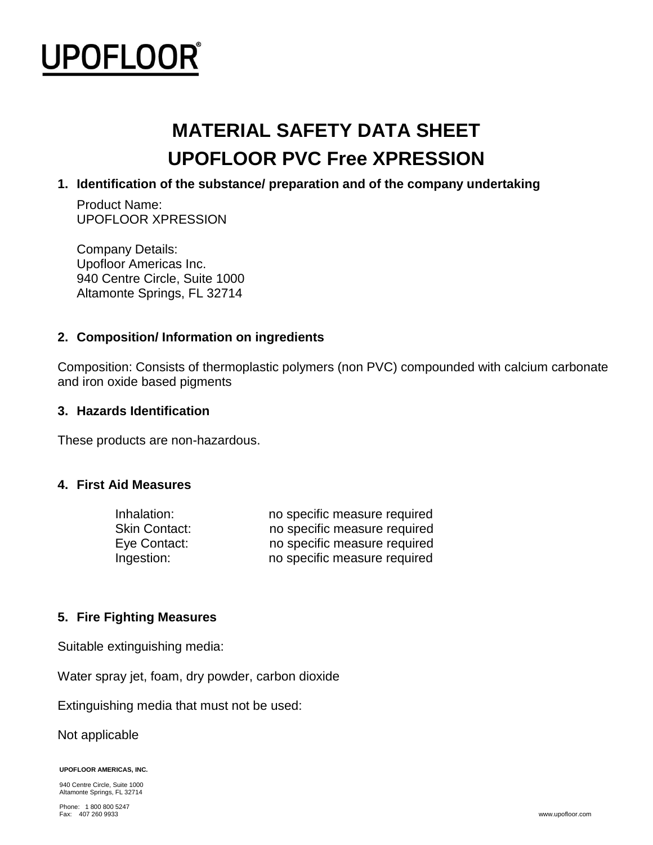

# **MATERIAL SAFETY DATA SHEET UPOFLOOR PVC Free XPRESSION**

#### **1. Identification of the substance/ preparation and of the company undertaking**

Product Name: UPOFLOOR XPRESSION

Company Details: Upofloor Americas Inc. 940 Centre Circle, Suite 1000 Altamonte Springs, FL 32714

#### **2. Composition/ Information on ingredients**

Composition: Consists of thermoplastic polymers (non PVC) compounded with calcium carbonate and iron oxide based pigments

#### **3. Hazards Identification**

These products are non-hazardous.

#### **4. First Aid Measures**

| Inhalation:   | no specific measure required |
|---------------|------------------------------|
| Skin Contact: | no specific measure required |
| Eye Contact:  | no specific measure required |
| Ingestion:    | no specific measure required |

#### **5. Fire Fighting Measures**

Suitable extinguishing media:

Water spray jet, foam, dry powder, carbon dioxide

Extinguishing media that must not be used:

Not applicable

**UPOFLOOR AMERICAS, INC.** 

940 Centre Circle, Suite 1000 Altamonte Springs, FL 32714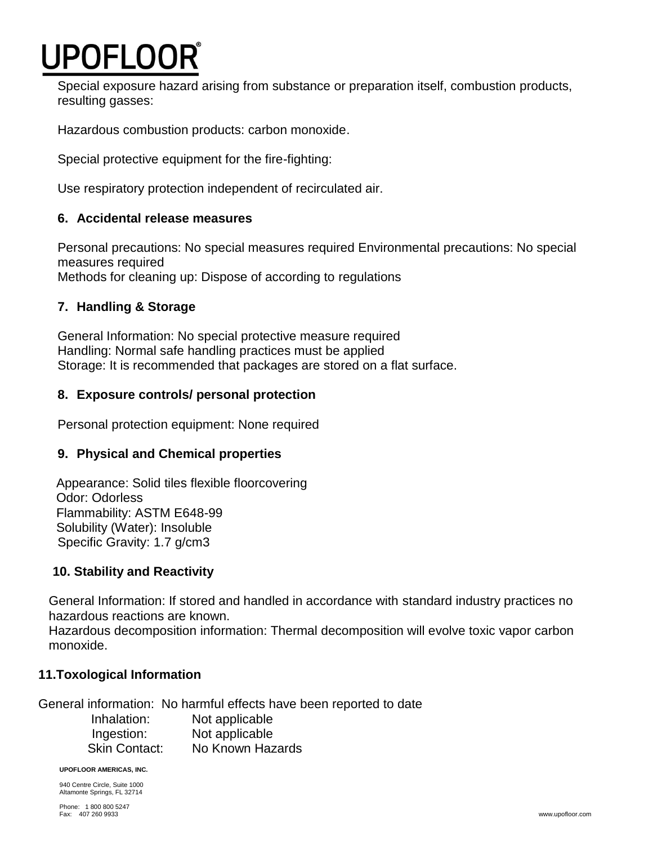# **JPOFLOOR®**

Special exposure hazard arising from substance or preparation itself, combustion products, resulting gasses:

Hazardous combustion products: carbon monoxide.

Special protective equipment for the fire-fighting:

Use respiratory protection independent of recirculated air.

# **6. Accidental release measures**

Personal precautions: No special measures required Environmental precautions: No special measures required Methods for cleaning up: Dispose of according to regulations

# **7. Handling & Storage**

General Information: No special protective measure required Handling: Normal safe handling practices must be applied Storage: It is recommended that packages are stored on a flat surface.

# **8. Exposure controls/ personal protection**

Personal protection equipment: None required

# **9. Physical and Chemical properties**

 Appearance: Solid tiles flexible floorcovering Odor: Odorless Flammability: ASTM E648-99 Solubility (Water): Insoluble Specific Gravity: 1.7 g/cm3

# **10. Stability and Reactivity**

General Information: If stored and handled in accordance with standard industry practices no hazardous reactions are known.

Hazardous decomposition information: Thermal decomposition will evolve toxic vapor carbon monoxide.

# **11.Toxological Information**

General information: No harmful effects have been reported to date Inhalation: Not applicable Ingestion: Not applicable Skin Contact: No Known Hazards

**UPOFLOOR AMERICAS, INC.** 

940 Centre Circle, Suite 1000 Altamonte Springs, FL 32714